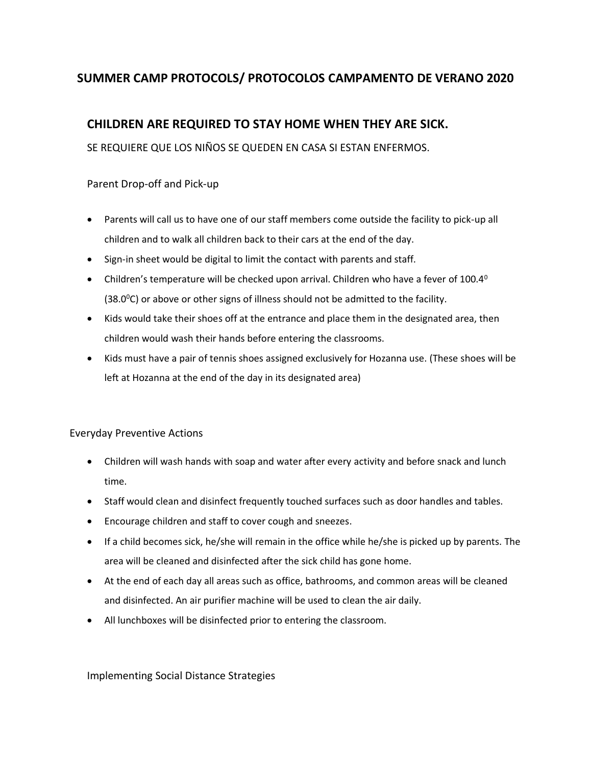# **SUMMER CAMP PROTOCOLS/ PROTOCOLOS CAMPAMENTO DE VERANO 2020**

## **CHILDREN ARE REQUIRED TO STAY HOME WHEN THEY ARE SICK.**

SE REQUIERE QUE LOS NIÑOS SE QUEDEN EN CASA SI ESTAN ENFERMOS.

Parent Drop-off and Pick-up

- Parents will call us to have one of our staff members come outside the facility to pick-up all children and to walk all children back to their cars at the end of the day.
- Sign-in sheet would be digital to limit the contact with parents and staff.
- Children's temperature will be checked upon arrival. Children who have a fever of  $100.4^{\circ}$  $(38.0^{\circ}C)$  or above or other signs of illness should not be admitted to the facility.
- Kids would take their shoes off at the entrance and place them in the designated area, then children would wash their hands before entering the classrooms.
- Kids must have a pair of tennis shoes assigned exclusively for Hozanna use. (These shoes will be left at Hozanna at the end of the day in its designated area)

### Everyday Preventive Actions

- Children will wash hands with soap and water after every activity and before snack and lunch time.
- Staff would clean and disinfect frequently touched surfaces such as door handles and tables.
- Encourage children and staff to cover cough and sneezes.
- If a child becomes sick, he/she will remain in the office while he/she is picked up by parents. The area will be cleaned and disinfected after the sick child has gone home.
- At the end of each day all areas such as office, bathrooms, and common areas will be cleaned and disinfected. An air purifier machine will be used to clean the air daily.
- All lunchboxes will be disinfected prior to entering the classroom.

### Implementing Social Distance Strategies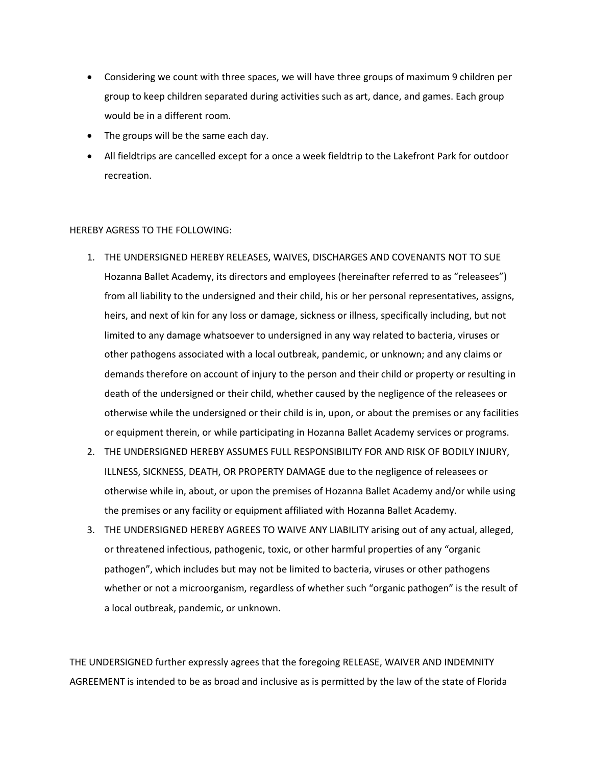- Considering we count with three spaces, we will have three groups of maximum 9 children per group to keep children separated during activities such as art, dance, and games. Each group would be in a different room.
- The groups will be the same each day.
- All fieldtrips are cancelled except for a once a week fieldtrip to the Lakefront Park for outdoor recreation.

#### HEREBY AGRESS TO THE FOLLOWING:

- 1. THE UNDERSIGNED HEREBY RELEASES, WAIVES, DISCHARGES AND COVENANTS NOT TO SUE Hozanna Ballet Academy, its directors and employees (hereinafter referred to as "releasees") from all liability to the undersigned and their child, his or her personal representatives, assigns, heirs, and next of kin for any loss or damage, sickness or illness, specifically including, but not limited to any damage whatsoever to undersigned in any way related to bacteria, viruses or other pathogens associated with a local outbreak, pandemic, or unknown; and any claims or demands therefore on account of injury to the person and their child or property or resulting in death of the undersigned or their child, whether caused by the negligence of the releasees or otherwise while the undersigned or their child is in, upon, or about the premises or any facilities or equipment therein, or while participating in Hozanna Ballet Academy services or programs.
- 2. THE UNDERSIGNED HEREBY ASSUMES FULL RESPONSIBILITY FOR AND RISK OF BODILY INJURY, ILLNESS, SICKNESS, DEATH, OR PROPERTY DAMAGE due to the negligence of releasees or otherwise while in, about, or upon the premises of Hozanna Ballet Academy and/or while using the premises or any facility or equipment affiliated with Hozanna Ballet Academy.
- 3. THE UNDERSIGNED HEREBY AGREES TO WAIVE ANY LIABILITY arising out of any actual, alleged, or threatened infectious, pathogenic, toxic, or other harmful properties of any "organic pathogen", which includes but may not be limited to bacteria, viruses or other pathogens whether or not a microorganism, regardless of whether such "organic pathogen" is the result of a local outbreak, pandemic, or unknown.

THE UNDERSIGNED further expressly agrees that the foregoing RELEASE, WAIVER AND INDEMNITY AGREEMENT is intended to be as broad and inclusive as is permitted by the law of the state of Florida